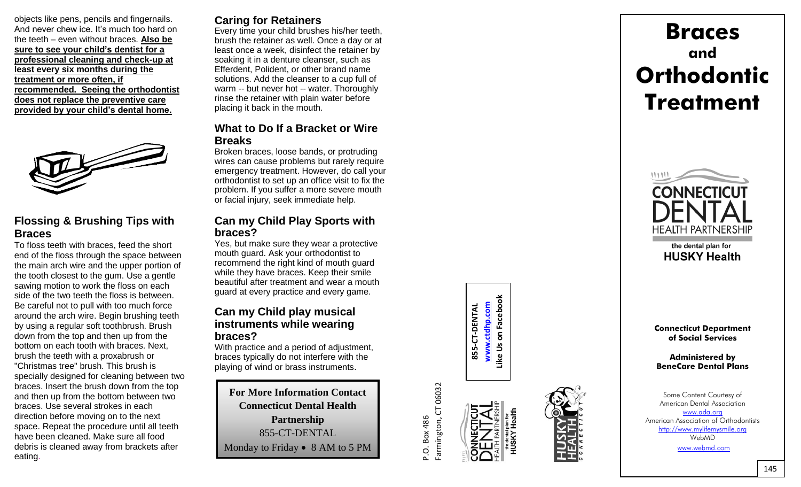objects like pens, pencils and fingernails. And never chew ice. It's much too hard on the teeth – even without braces. **Also be sure to see your child's dentist for a professional cleaning and check -up at least every six months during the treatment or more often, if recommended. Seeing the orthodontist does not replace the preventive care provided by your child's dental home.**



## **Flossing & Brushing Tips with Braces**

To floss teeth with braces, feed the short end of the floss through the space between the main arch wire and the upper portion of the tooth closest to the gum. Use a gentle sawing motion to work the floss on each side of the two teeth the floss is between. Be careful not to pull with too much force around the arch wire. Begin brushing teeth by using a regular soft toothbrush. Brush down from the top and then up from the bottom on each tooth with braces. Next, brush the teeth with a proxabrush or "Christmas tree" brush. This brush is specially designed for cleaning between two braces. Insert the brush down from the top and then up from the bottom between two braces. Use several strokes in each direction before moving on to the next space. Repeat the procedure until all teeth have been cleaned. Make sure all food debris is cleaned away from brackets after eating .

## **Caring for Retainers**

Every time your child brushes his/her teeth, brush the retainer as well. Once a day or at least once a week, disinfect the retainer by soaking it in a denture cleanser, such as Efferdent, Polident, or other brand name solutions. Add the cleanser to a cup full of warm -- but never hot -- water. Thoroughly rinse the retainer with plain water before placing it back in the mouth.

### **What to Do If a Bracket or Wire Breaks**

Broken braces, loose bands, or protruding wires can cause problems but rarely require emergency treatment. However, do call your orthodontist to set up an office visit to fix the problem. If you suffer a more severe mouth or facial injury, seek immediate help.

## **Can my Child Play Sports with braces?**

Yes, but make sure they wear a protective mouth guard. Ask your orthodontist to recommend the right kind of mouth guard while they have braces. Keep their smile beautiful after treatment and wear a mouth guard at every practice and every game.

## **Can my Child play musical instruments while wearing braces?**

With practice and a period of adjustment, braces typically do not interfere with the playing of wind or brass instruments

**For More Information Contact Connecticut Dental Health Partnership** 855 -CT -DENTAL Monday to Friday • 8 AM to 5 PM

[www.ctdhp.com](http://www.ctdhp.com/)

**855-CT-DENTAL www.[ctdh](http://www.ctdhp.com/)p.com Like Us on Facebook**

P.O. Box 486<br>Farmington, CT 06032 Farmington, CT 06032



**HUSKY Health** 

**Braces and Orthodontic Treatment**



the dental plan for **HUSKY Health** 

**Connecticut Department of Social Services**

the the the state of the state of the state of the state of the state of the state of the state of the state of the<br>The state of the state of the state of the state of the state of the state of the state of the state of th **Administered by BeneCare Dental Plans**

> Some Content Courtesy of American Dental Association [www.ada.org](http://www.ada.org/)

American Association of Orthodontists [http://www.mylifemysmile.org](http://www.mylifemysmile.org/) WebMD [www.webmd.com](http://www.webmd.com/)